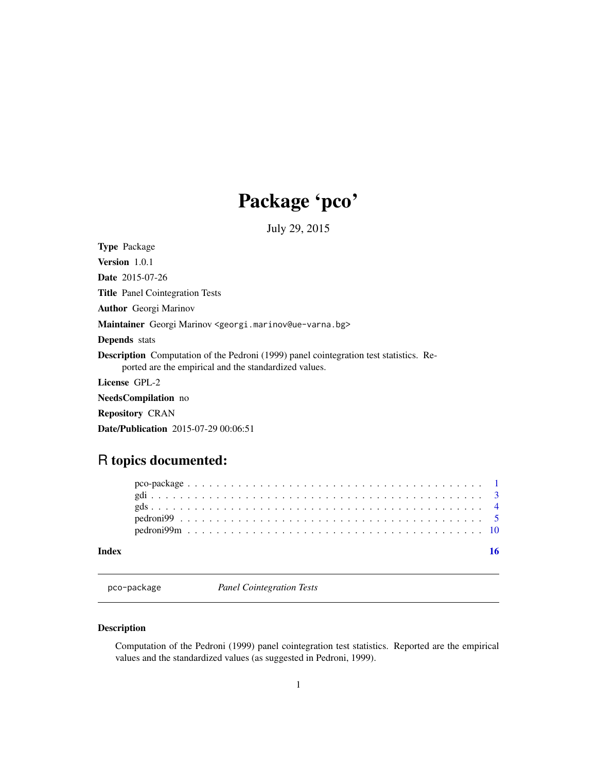## Package 'pco'

July 29, 2015

<span id="page-0-0"></span>Type Package

Version 1.0.1 Date 2015-07-26 Title Panel Cointegration Tests Author Georgi Marinov Maintainer Georgi Marinov <georgi.marinov@ue-varna.bg>

Depends stats

Description Computation of the Pedroni (1999) panel cointegration test statistics. Reported are the empirical and the standardized values.

License GPL-2

NeedsCompilation no

Repository CRAN

Date/Publication 2015-07-29 00:06:51

### R topics documented:

| Index |  |  |  |  |  |  |  |  |  |  |  |  |  |  |  |  |  |  |  |  |  |  |
|-------|--|--|--|--|--|--|--|--|--|--|--|--|--|--|--|--|--|--|--|--|--|--|
|       |  |  |  |  |  |  |  |  |  |  |  |  |  |  |  |  |  |  |  |  |  |  |
|       |  |  |  |  |  |  |  |  |  |  |  |  |  |  |  |  |  |  |  |  |  |  |
|       |  |  |  |  |  |  |  |  |  |  |  |  |  |  |  |  |  |  |  |  |  |  |
|       |  |  |  |  |  |  |  |  |  |  |  |  |  |  |  |  |  |  |  |  |  |  |
|       |  |  |  |  |  |  |  |  |  |  |  |  |  |  |  |  |  |  |  |  |  |  |

| pco-package |  |
|-------------|--|
|-------------|--|

**Panel Cointegration Tests** 

#### Description

Computation of the Pedroni (1999) panel cointegration test statistics. Reported are the empirical values and the standardized values (as suggested in Pedroni, 1999).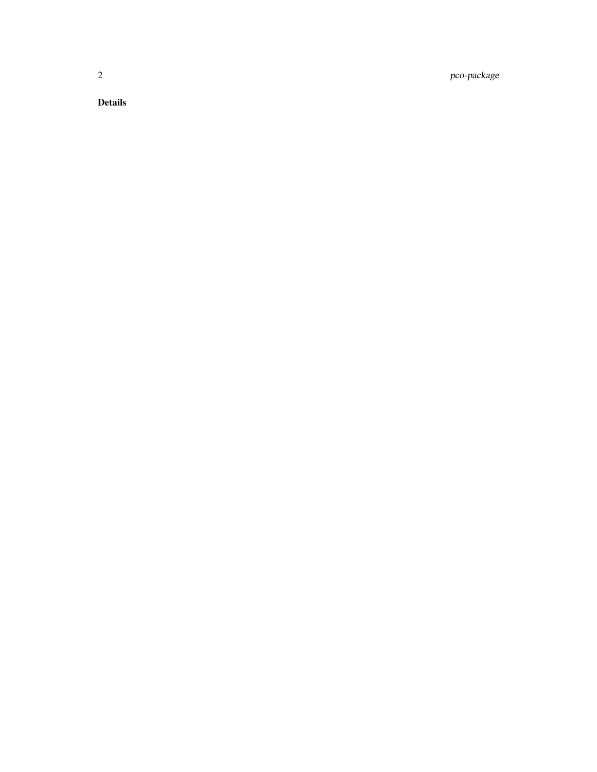2 pco-package

Details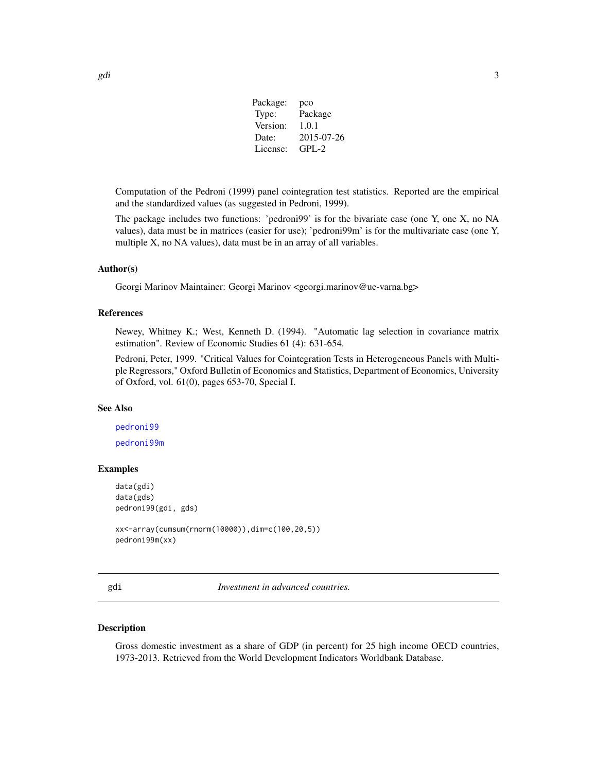| Package: | pco        |
|----------|------------|
| Type:    | Package    |
| Version: | 1.0.1      |
| Date:    | 2015-07-26 |
| License: | $GPI - 2$  |

<span id="page-2-0"></span>Computation of the Pedroni (1999) panel cointegration test statistics. Reported are the empirical and the standardized values (as suggested in Pedroni, 1999).

The package includes two functions: 'pedroni99' is for the bivariate case (one Y, one X, no NA values), data must be in matrices (easier for use); 'pedroni99m' is for the multivariate case (one Y, multiple X, no NA values), data must be in an array of all variables.

#### Author(s)

Georgi Marinov Maintainer: Georgi Marinov <georgi.marinov@ue-varna.bg>

#### References

Newey, Whitney K.; West, Kenneth D. (1994). "Automatic lag selection in covariance matrix estimation". Review of Economic Studies 61 (4): 631-654.

Pedroni, Peter, 1999. "Critical Values for Cointegration Tests in Heterogeneous Panels with Multiple Regressors," Oxford Bulletin of Economics and Statistics, Department of Economics, University of Oxford, vol. 61(0), pages 653-70, Special I.

#### See Also

[pedroni99](#page-4-1) [pedroni99m](#page-9-1)

#### Examples

```
data(gdi)
data(gds)
pedroni99(gdi, gds)
xx<-array(cumsum(rnorm(10000)),dim=c(100,20,5))
```

```
pedroni99m(xx)
```
gdi *Investment in advanced countries.*

#### Description

Gross domestic investment as a share of GDP (in percent) for 25 high income OECD countries, 1973-2013. Retrieved from the World Development Indicators Worldbank Database.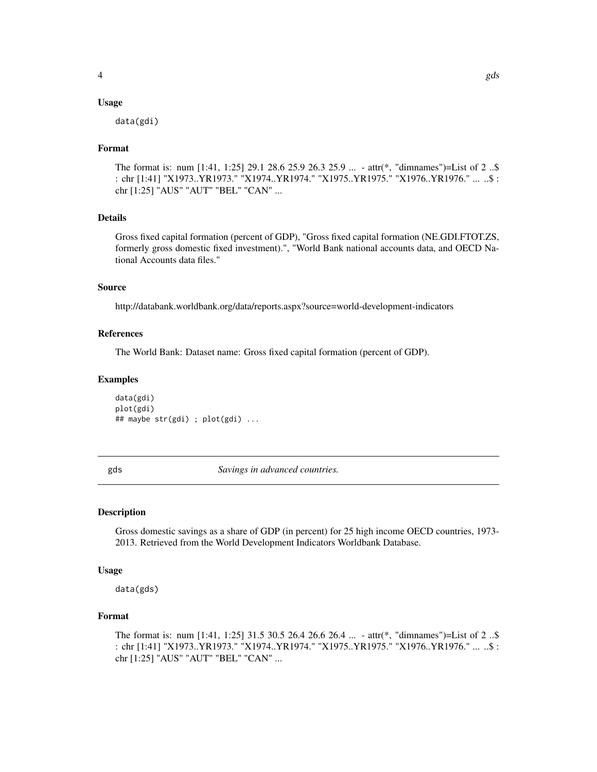#### <span id="page-3-0"></span>Usage

data(gdi)

#### Format

The format is: num [1:41, 1:25] 29.1 28.6 25.9 26.3 25.9 ... - attr(\*, "dimnames")=List of 2 ..\$ : chr [1:41] "X1973..YR1973." "X1974..YR1974." "X1975..YR1975." "X1976..YR1976." ... ..\$ : chr [1:25] "AUS" "AUT" "BEL" "CAN" ...

#### Details

Gross fixed capital formation (percent of GDP), "Gross fixed capital formation (NE.GDI.FTOT.ZS, formerly gross domestic fixed investment).", "World Bank national accounts data, and OECD National Accounts data files."

#### Source

http://databank.worldbank.org/data/reports.aspx?source=world-development-indicators

#### References

The World Bank: Dataset name: Gross fixed capital formation (percent of GDP).

#### Examples

data(gdi) plot(gdi) ## maybe str(gdi) ; plot(gdi) ...

gds *Savings in advanced countries.*

#### Description

Gross domestic savings as a share of GDP (in percent) for 25 high income OECD countries, 1973- 2013. Retrieved from the World Development Indicators Worldbank Database.

#### Usage

data(gds)

#### Format

The format is: num [1:41, 1:25] 31.5 30.5 26.4 26.6 26.4 ... - attr(\*, "dimnames")=List of 2 ..\$ : chr [1:41] "X1973..YR1973." "X1974..YR1974." "X1975..YR1975." "X1976..YR1976." ... ..\$ : chr [1:25] "AUS" "AUT" "BEL" "CAN" ...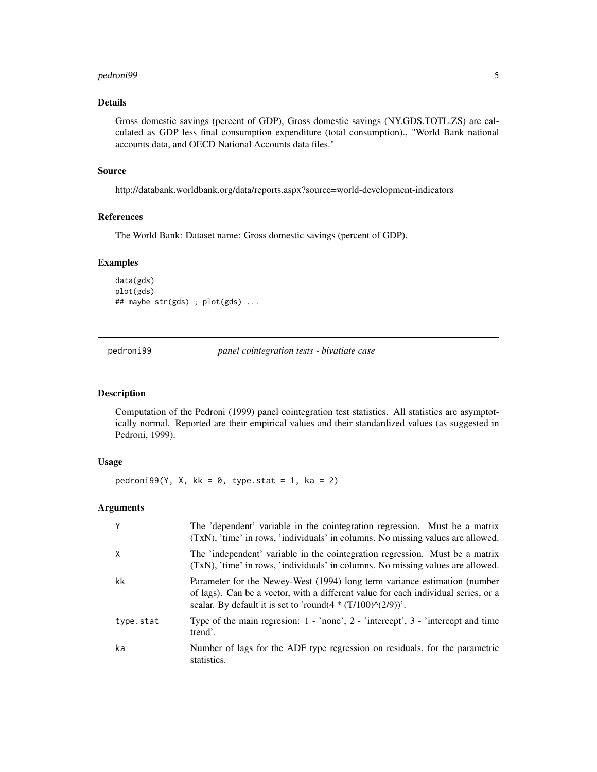#### <span id="page-4-0"></span>pedroni99 5

#### Details

Gross domestic savings (percent of GDP), Gross domestic savings (NY.GDS.TOTL.ZS) are calculated as GDP less final consumption expenditure (total consumption)., "World Bank national accounts data, and OECD National Accounts data files."

#### Source

http://databank.worldbank.org/data/reports.aspx?source=world-development-indicators

#### References

The World Bank: Dataset name: Gross domestic savings (percent of GDP).

#### Examples

```
data(gds)
plot(gds)
## maybe str(gds) ; plot(gds) ...
```
<span id="page-4-1"></span>pedroni99 *panel cointegration tests - bivatiate case*

#### Description

Computation of the Pedroni (1999) panel cointegration test statistics. All statistics are asymptotically normal. Reported are their empirical values and their standardized values (as suggested in Pedroni, 1999).

#### Usage

pedroni99(Y, X, kk =  $\theta$ , type.stat = 1, ka = 2)

#### Arguments

| Y         | The 'dependent' variable in the cointegration regression. Must be a matrix<br>(TxN), 'time' in rows, 'individuals' in columns. No missing values are allowed.                                                                        |
|-----------|--------------------------------------------------------------------------------------------------------------------------------------------------------------------------------------------------------------------------------------|
| X         | The 'independent' variable in the cointegration regression. Must be a matrix<br>(TxN), 'time' in rows, 'individuals' in columns. No missing values are allowed.                                                                      |
| kk        | Parameter for the Newey-West (1994) long term variance estimation (number<br>of lags). Can be a vector, with a different value for each individual series, or a<br>scalar. By default it is set to 'round( $4*(T/100)\land(2/9)$ )'. |
| type.stat | Type of the main regression: $1 - \text{'none'}$ , $2 - \text{'intercept'}$ , $3 - \text{'intercept}$ and time<br>trend'.                                                                                                            |
| ka        | Number of lags for the ADF type regression on residuals, for the parametric<br>statistics.                                                                                                                                           |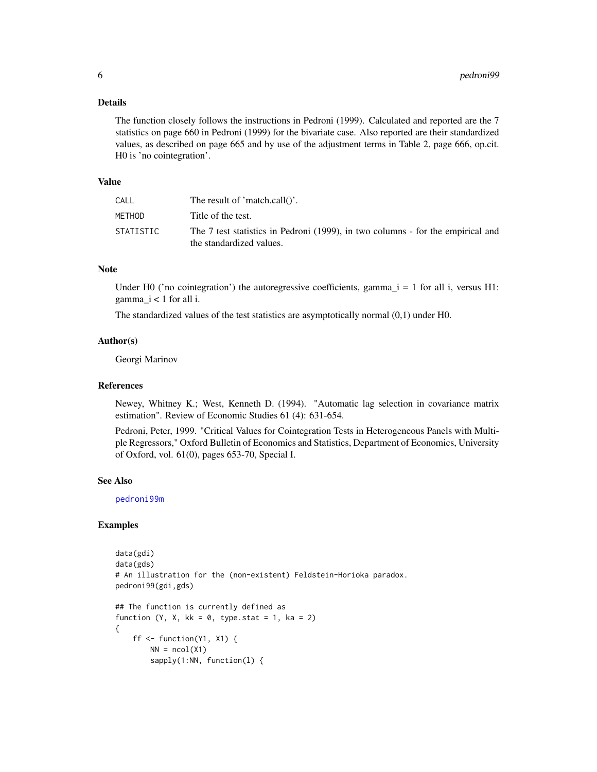#### <span id="page-5-0"></span>Details

The function closely follows the instructions in Pedroni (1999). Calculated and reported are the 7 statistics on page 660 in Pedroni (1999) for the bivariate case. Also reported are their standardized values, as described on page 665 and by use of the adjustment terms in Table 2, page 666, op.cit. H0 is 'no cointegration'.

#### Value

| CALL      | The result of 'match.call()'.                                                                               |
|-----------|-------------------------------------------------------------------------------------------------------------|
| METHOD    | Title of the test.                                                                                          |
| STATISTIC | The 7 test statistics in Pedroni (1999), in two columns - for the empirical and<br>the standardized values. |

#### Note

Under H0 ('no cointegration') the autoregressive coefficients, gamma\_ $i = 1$  for all i, versus H1:  $gamma_i < 1$  for all i.

The standardized values of the test statistics are asymptotically normal (0,1) under H0.

#### Author(s)

Georgi Marinov

#### References

Newey, Whitney K.; West, Kenneth D. (1994). "Automatic lag selection in covariance matrix estimation". Review of Economic Studies 61 (4): 631-654.

Pedroni, Peter, 1999. "Critical Values for Cointegration Tests in Heterogeneous Panels with Multiple Regressors," Oxford Bulletin of Economics and Statistics, Department of Economics, University of Oxford, vol. 61(0), pages 653-70, Special I.

#### See Also

[pedroni99m](#page-9-1)

#### Examples

```
data(gdi)
data(gds)
# An illustration for the (non-existent) Feldstein-Horioka paradox.
pedroni99(gdi,gds)
## The function is currently defined as
function (Y, X, kk = 0, type.stat = 1, ka = 2)
{
    ff \leq function(Y1, X1) {
       NN = ncol(X1)sapply(1:NN, function(l) {
```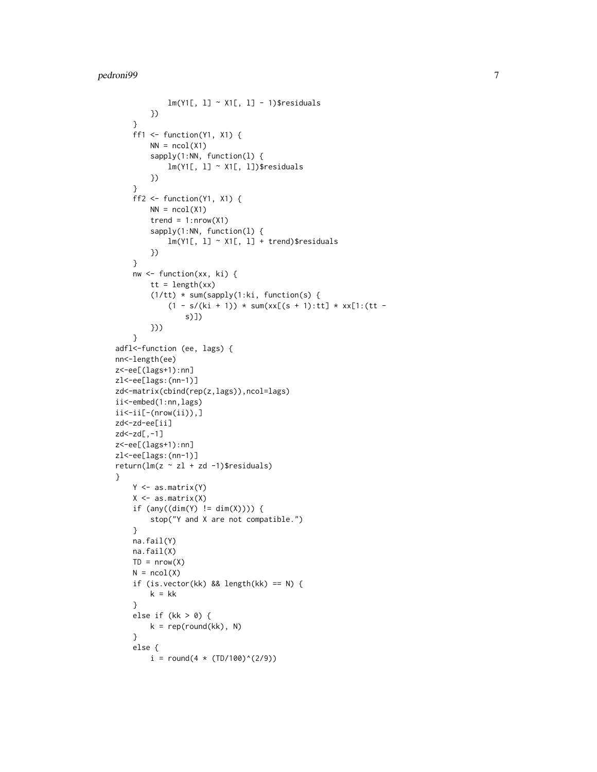```
lm(Y1[, 1] \sim X1[, 1] - 1)$residuals
        })
    }
    ff1 \le function(Y1, X1) {
        NN = ncol(X1)sapply(1:NN, function(l) {
            lm(Y1[, 1] ~ \sim X1[, 1])$residuals
        })
    }
    ff2 \leftarrow function(Y1, X1) {
        NN = ncol(X1)trend = 1: nrow(X1)sapply(1:NN, function(l) {
            lm(Y1[, 1] ~~ X1[, 1] + trend)$residuals
        })
    }
    nw <- function(xx, ki) {
        tt = length(xx)(1/tt) * sum(sapply(1:ki, function(s) {
            (1 - s/(ki + 1)) * sum(xx[(s + 1):tt] * xx[1:(tt -s)])
        }))
    }
adfl<-function (ee, lags) {
nn<-length(ee)
z<-ee[(lags+1):nn]
zl<-ee[lags:(nn-1)]
zd<-matrix(cbind(rep(z,lags)),ncol=lags)
ii<-embed(1:nn,lags)
ii<-ii[-(nrow(ii)),]
zd<-zd-ee[ii]
zd<-zd[,-1]
z<-ee[(lags+1):nn]
zl<-ee[lags:(nn-1)]
return(lm(z \sim zl + zd -1)$residuals)
}
    Y <- as.matrix(Y)
    X \leftarrow as.matrix(X)if (\text{any}((\text{dim}(Y) := \text{dim}(X)))) {
        stop("Y and X are not compatible.")
    }
    na.fail(Y)
    na.fail(X)
    TD = nrow(X)N = ncol(X)if (is.vector(kk) && length(kk) == N) {
        k = kk}
    else if (kk > 0) {
        k = rep(round(kk), N)}
    else {
        i = round(4 * (TD/100)^(2/9))
```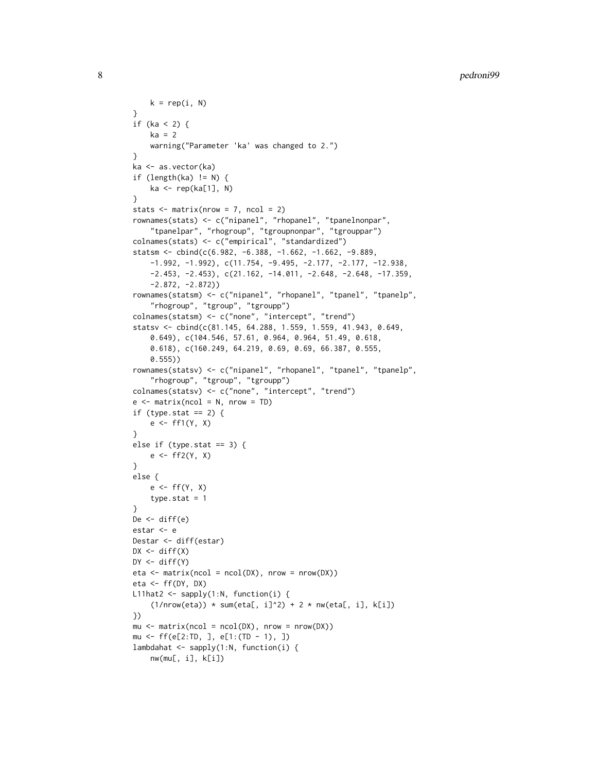```
k = rep(i, N)}
if (ka < 2) {
    ka = 2warning("Parameter 'ka' was changed to 2.")
}
ka <- as.vector(ka)
if (length(ka) != N) {
    ka <- rep(ka[1], N)
}
stats \leq matrix(nrow = 7, ncol = 2)
rownames(stats) <- c("nipanel", "rhopanel", "tpanelnonpar",
    "tpanelpar", "rhogroup", "tgroupnonpar", "tgrouppar")
colnames(stats) <- c("empirical", "standardized")
statsm <- cbind(c(6.982, -6.388, -1.662, -1.662, -9.889,
    -1.992, -1.992), c(11.754, -9.495, -2.177, -2.177, -12.938,
    -2.453, -2.453), c(21.162, -14.011, -2.648, -2.648, -17.359,
    -2.872, -2.872))
rownames(statsm) <- c("nipanel", "rhopanel", "tpanel", "tpanelp",
    "rhogroup", "tgroup", "tgroupp")
colnames(statsm) <- c("none", "intercept", "trend")
statsv <- cbind(c(81.145, 64.288, 1.559, 1.559, 41.943, 0.649,
    0.649), c(104.546, 57.61, 0.964, 0.964, 51.49, 0.618,
    0.618), c(160.249, 64.219, 0.69, 0.69, 66.387, 0.555,
    0.555))
rownames(statsv) <- c("nipanel", "rhopanel", "tpanel", "tpanelp",
    "rhogroup", "tgroup", "tgroupp")
colnames(statsv) <- c("none", "intercept", "trend")
e \le - matrix(ncol = N, nrow = TD)
if (type.stat == 2) {
    e \leftarrow ff1(Y, X)}
else if (type.stat == 3) {
    e \leftarrow ff2(Y, X)}
else {
    e \leftarrow ff(Y, X)type.stat = 1}
De \leftarrow diff(e)
estar <- e
Destar <- diff(estar)
DX \leftarrow diff(X)DY \leftarrow diff(Y)eta \leq matrix(ncol = ncol(DX), nrow = nrow(DX))
eta \leftarrow ff(DY, DX)
L11hat2 <- sapply(1:N, function(i) {
    (1/nrow(eta)) * sum(eta[, i]^2) + 2 * nw(eta[, i], k[i])})
mu <- matrix(ncol = ncol(DX), nrow = nrow(DX))
mu <- ff(e[2:TD, ], e[1:(TD - 1), ])
lambdahat <- sapply(1:N, function(i) {
    nw(mu[, i], k[i])
```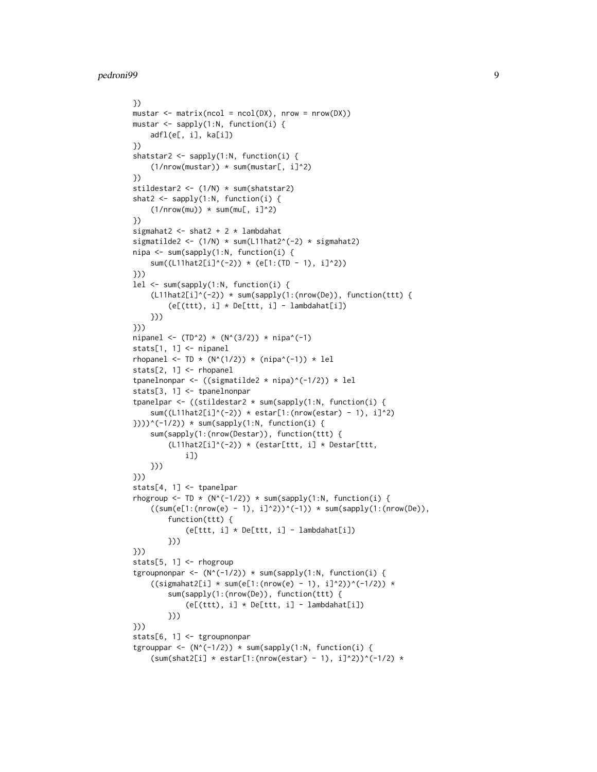```
})
mustar \leq matrix(ncol = ncol(DX), nrow = nrow(DX))
mustar <- sapply(1:N, function(i) {
   adfl(e[, i], ka[i])
})
shatstar2 <- sapply(1:N, function(i) {
    (1/nrow(mustar)) * sum(mustar[, i]^2)})
stildestar2 <- (1/N) * sum(shatstar2)
shat2 <- sapply(1:N, function(i) {
    (1/nrow(mu)) * sum(mu[, i]^2)})
sigmahat2 <- shat2 + 2 * lambdahat
sigmatilde2 <- (1/N) * sum(L11hat2^(-2) * sigmahat2)
nipa <- sum(sapply(1:N, function(i) {
    sum((L11hat2[i]^(-2)) * (e[1:(TD - 1), i]^2))
}))
lel <- sum(sapply(1:N, function(i) {
    (L11hat2[i]^(-2)) * sum(sapply(1:(nrow(De)), function(ttt) {
        (e[(ttt), i] * De[ttt, i] - lambdahat[i])}))
}))
nipanel <- (TD^2) * (N^(3/2)) * nipa^(-1)
stats[1, 1] <- nipanel
rhopanel <- TD * (N^{(1/2)}) * (nipa^(-1)) * lel
stats[2, 1] <- rhopanel
tpanelnonpar <- ((sigmatilde2 * nipa)^(-1/2)) * lel
stats[3, 1] <- tpanelnonpar
tpanelpar <- ((stildestar2 * sum(sapply(1:N, function(i) {
    sum((L11hat2[i]^(-2)) * estar[1:(nrow(estar) - 1), i]^2)
})))^(-1/2)) * sum(sapply(1:N, function(i) {
    sum(sapply(1:(nrow(Destar)), function(ttt) {
        (L11hat2[i]^(-2)) * (estar[ttt, i] * Destar[ttt, j])i])
    }))
}))
stats[4, 1] <- tpanelpar
rhogroup <- TD * (N^(-1/2)) * sum(sapply(1:N, function(i) {
    ((sum(e[1:(nrow(e) - 1), i]^{2}))^{(-1)}) * sum(sapply(1:(nrow(De)),function(ttt) {
            (e[ttt, i] * De[ttt, i] - lambdahat[i])
        }))
}))
stats[5, 1] <- rhogroup
tgroupnonpar <- (N^(-1/2)) * sum(sapply(1:N, function(i) {
    ((signal2[i] * sum(e[1:(nrow(e) - 1), i]^{2}))^(1/2)) *sum(sapply(1:(nrow(De)), function(ttt) {
            (e[(ttt), i] * De[ttt, i] - lambdahat[i])}))
}))
stats[6, 1] <- tgroupnonpar
tgrouppar <- (N^(-1/2)) * sum(sapply(1:N, function(i) {\mathcal{Q}})(sum(shat2[i] * estar[1:(nrow(estar) - 1), i]^{2})^(-1/2) *
```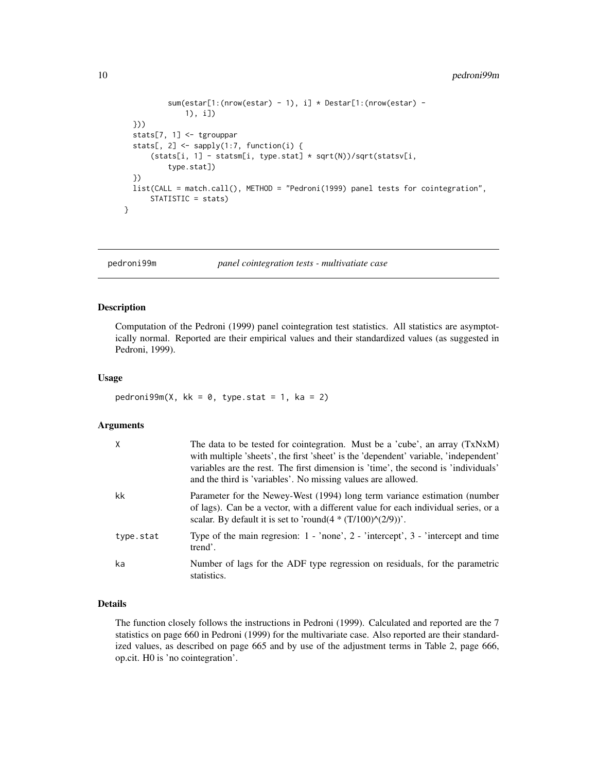```
sum(estar[1:(nrow(estar) - 1), i] * Destar[1:(nrow(estar) -
              1), i])
  }))
  stats[7, 1] <- tgrouppar
  stats[, 2] <- sapply(1:7, function(i) {
      (stats[i, 1] - statsm[i, type.stat] * sqrt(N))/sqrt(statsv[i,
          type.stat])
  })
 list(CALL = match.call(), METHOD = "Pedroni(1999) panel tests for cointegration",
      STATISTIC = stats)
}
```
<span id="page-9-1"></span>pedroni99m *panel cointegration tests - multivatiate case*

#### Description

Computation of the Pedroni (1999) panel cointegration test statistics. All statistics are asymptotically normal. Reported are their empirical values and their standardized values (as suggested in Pedroni, 1999).

#### Usage

```
pedroni99m(X, kk = 0, type.stat = 1, ka = 2)
```
#### **Arguments**

| $\times$  | The data to be tested for cointegration. Must be a 'cube', an array (TxNxM)<br>with multiple 'sheets', the first 'sheet' is the 'dependent' variable, 'independent'<br>variables are the rest. The first dimension is 'time', the second is 'individuals'<br>and the third is 'variables'. No missing values are allowed. |
|-----------|---------------------------------------------------------------------------------------------------------------------------------------------------------------------------------------------------------------------------------------------------------------------------------------------------------------------------|
| kk        | Parameter for the Newey-West (1994) long term variance estimation (number<br>of lags). Can be a vector, with a different value for each individual series, or a<br>scalar. By default it is set to 'round( $4*(T/100)\land(2/9)$ )'.                                                                                      |
| type.stat | Type of the main regression: $1 - \text{'none'}$ , $2 - \text{'intercept'}$ , $3 - \text{'intercept}$ and time<br>trend'.                                                                                                                                                                                                 |
| ka        | Number of lags for the ADF type regression on residuals, for the parametric<br>statistics.                                                                                                                                                                                                                                |

#### Details

The function closely follows the instructions in Pedroni (1999). Calculated and reported are the 7 statistics on page 660 in Pedroni (1999) for the multivariate case. Also reported are their standardized values, as described on page 665 and by use of the adjustment terms in Table 2, page 666, op.cit. H0 is 'no cointegration'.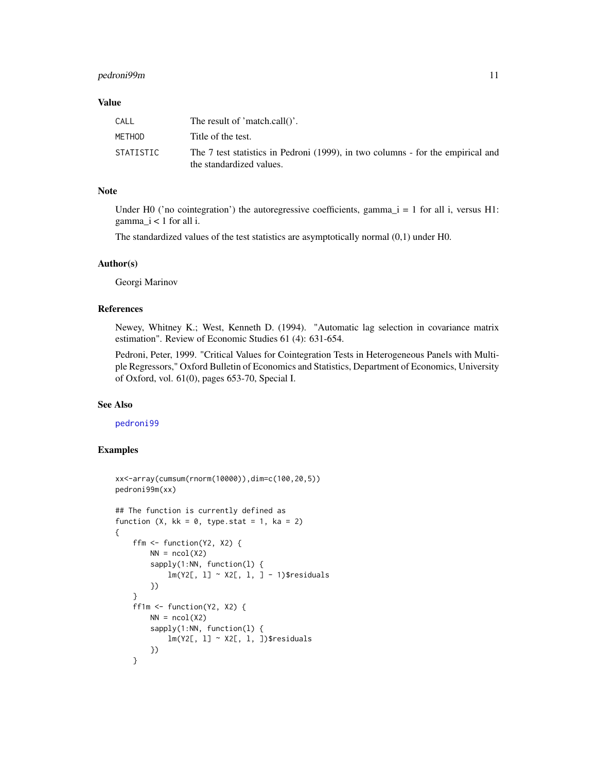#### <span id="page-10-0"></span>pedroni99m 11

#### Value

| CALL      | The result of 'match.call()'.                                                                               |
|-----------|-------------------------------------------------------------------------------------------------------------|
| METHOD    | Title of the test.                                                                                          |
| STATISTIC | The 7 test statistics in Pedroni (1999), in two columns - for the empirical and<br>the standardized values. |

#### Note

Under H0 ('no cointegration') the autoregressive coefficients, gamma $\iota$  = 1 for all i, versus H1:  $gamma_i < 1$  for all i.

The standardized values of the test statistics are asymptotically normal (0,1) under H0.

#### Author(s)

Georgi Marinov

#### References

Newey, Whitney K.; West, Kenneth D. (1994). "Automatic lag selection in covariance matrix estimation". Review of Economic Studies 61 (4): 631-654.

Pedroni, Peter, 1999. "Critical Values for Cointegration Tests in Heterogeneous Panels with Multiple Regressors," Oxford Bulletin of Economics and Statistics, Department of Economics, University of Oxford, vol. 61(0), pages 653-70, Special I.

#### See Also

#### [pedroni99](#page-4-1)

#### Examples

```
xx<-array(cumsum(rnorm(10000)),dim=c(100,20,5))
pedroni99m(xx)
## The function is currently defined as
function (X, kk = 0, type.stat = 1, ka = 2){
    ffm <- function(Y2, X2) {
       NN = ncol(X2)sapply(1:NN, function(l) {
            lm(Y2[, l] ~ X2[, l, ] - 1)$residuals
        })
    }
    ff1m <- function(Y2, X2) {
       NN = ncol(X2)sapply(1:NN, function(l) {
            lm(Y2[, 1] \sim X2[, 1, ])$residuals
        })
    }
```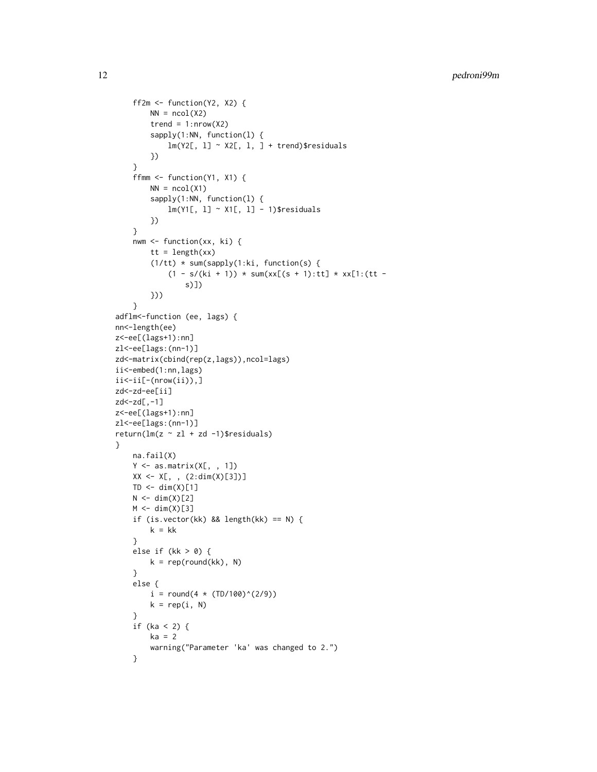```
ff2m \le function(Y2, X2) {
        NN = ncol(X2)trend = 1: nrow(X2)sapply(1:NN, function(l) {
             lm(Y2[, 1] \sim X2[, 1, ] + trend)$ residuals
        })
    }
    ffmm <- function(Y1, X1) {
        NN = ncol(X1)sapply(1:NN, function(l) {
             lm(Y1[, 1] ~ \sim X1[, 1] - 1)$residuals
        })
    }
    nwm <- function(xx, ki) {
        tt = length(xx)(1/tt) * sum(sapply(1:ki, function(s) {
             (1 - s/(ki + 1)) * sum(xx[(s + 1):tt] * xx[1:(tt -s)])
        }))
    }
adflm<-function (ee, lags) {
nn<-length(ee)
z<-ee[(lags+1):nn]
zl<-ee[lags:(nn-1)]
zd<-matrix(cbind(rep(z,lags)),ncol=lags)
ii<-embed(1:nn,lags)
\ii \le -i \in [-(\text{nrow}(ii)),]zd<-zd-ee[ii]
zd<-zd[,-1]
z<-ee[(lags+1):nn]
zl<-ee[lags:(nn-1)]
return(lm(z \sim zl + zd -1)$residuals)
}
    na.fail(X)
    Y \leftarrow \text{as_matrix}(X[, , , 1])XX \leq X[\ , \ , \ (2:dim(X)[3])]TD \leftarrow dim(X)[1]N < -dim(X)[2]M \leftarrow \text{dim}(X)[3]if (is.vector(kk) && length(kk) == N) {
        k = kk}
    else if (kk > 0) {
        k = rep(round(kk), N)}
    else {
        i = round(4 * (TD/100)^*(2/9))k = rep(i, N)}
    if (ka < 2) {
        ka = 2warning("Parameter 'ka' was changed to 2.")
    }
```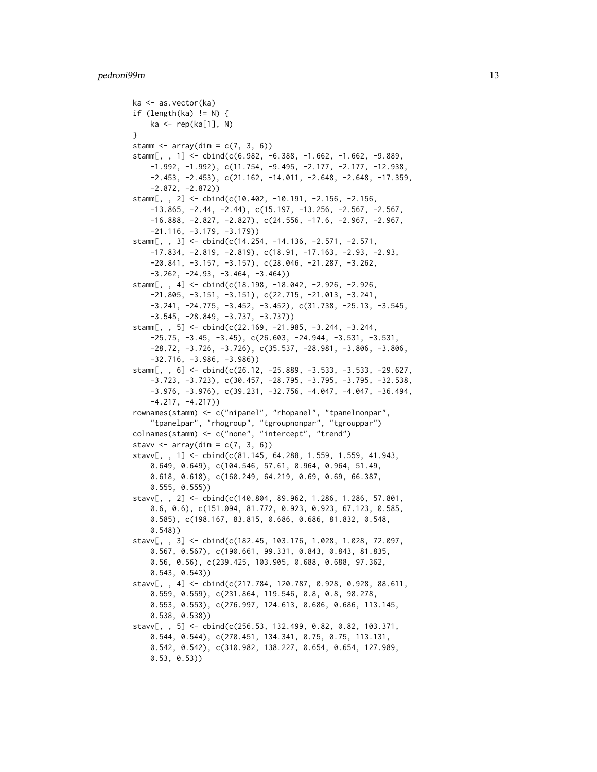#### pedroni99m 13

```
ka <- as.vector(ka)
if (length(ka) != N) {
   ka <- rep(ka[1], N)
}
stamm \leq array(dim = c(7, 3, 6))
stamm[, , 1] <- cbind(c(6.982, -6.388, -1.662, -1.662, -9.889,
    -1.992, -1.992), c(11.754, -9.495, -2.177, -2.177, -12.938,
   -2.453, -2.453), c(21.162, -14.011, -2.648, -2.648, -17.359,
    -2.872, -2.872)stamm[, , 2] <- cbind(c(10.402, -10.191, -2.156, -2.156,
    -13.865, -2.44, -2.44), c(15.197, -13.256, -2.567, -2.567,
    -16.888, -2.827, -2.827), c(24.556, -17.6, -2.967, -2.967,
    -21.116, -3.179, -3.179))
stamm[, , 3] <- cbind(c(14.254, -14.136, -2.571, -2.571,
   -17.834, -2.819, -2.819), c(18.91, -17.163, -2.93, -2.93,
   -20.841, -3.157, -3.157), c(28.046, -21.287, -3.262,
   -3.262, -24.93, -3.464, -3.464))
stamm[, , 4] <- cbind(c(18.198, -18.042, -2.926, -2.926,
    -21.805, -3.151, -3.151), c(22.715, -21.013, -3.241,
   -3.241, -24.775, -3.452, -3.452), c(31.738, -25.13, -3.545,
    -3.545, -28.849, -3.737, -3.737))
stamm[, , 5] <- cbind(c(22.169, -21.985, -3.244, -3.244,
   -25.75, -3.45, -3.45, c(26.603, -24.944, -3.531, -3.531,-28.72, -3.726, -3.726), c(35.537, -28.981, -3.806, -3.806,-32.716, -3.986, -3.986)stamm[, , 6] <- cbind(c(26.12, -25.889, -3.533, -3.533, -29.627,
    -3.723, -3.723), c(30.457, -28.795, -3.795, -3.795, -32.538,
    -3.976, -3.976), c(39.231, -32.756, -4.047, -4.047, -36.494,
    -4.217, -4.217))
rownames(stamm) <- c("nipanel", "rhopanel", "tpanelnonpar",
    "tpanelpar", "rhogroup", "tgroupnonpar", "tgrouppar")
colnames(stamm) <- c("none", "intercept", "trend")
stavv \leq array(dim = c(7, 3, 6))
stavv[, , 1] <- cbind(c(81.145, 64.288, 1.559, 1.559, 41.943,
    0.649, 0.649), c(104.546, 57.61, 0.964, 0.964, 51.49,
   0.618, 0.618), c(160.249, 64.219, 0.69, 0.69, 66.387,
   0.555, 0.555))
stavv[, , 2] <- cbind(c(140.804, 89.962, 1.286, 1.286, 57.801,
    0.6, 0.6), c(151.094, 81.772, 0.923, 0.923, 67.123, 0.585,
   0.585), c(198.167, 83.815, 0.686, 0.686, 81.832, 0.548,
    0.548))
stavv[, , 3] <- cbind(c(182.45, 103.176, 1.028, 1.028, 72.097,
   0.567, 0.567), c(190.661, 99.331, 0.843, 0.843, 81.835,
   0.56, 0.56), c(239.425, 103.905, 0.688, 0.688, 97.362,
   0.543, 0.543))
stavv[, , 4] <- cbind(c(217.784, 120.787, 0.928, 0.928, 88.611,
   0.559, 0.559), c(231.864, 119.546, 0.8, 0.8, 98.278,
   0.553, 0.553), c(276.997, 124.613, 0.686, 0.686, 113.145,
   0.538, 0.538))
stavv[, , 5] <- cbind(c(256.53, 132.499, 0.82, 0.82, 103.371,
   0.544, 0.544), c(270.451, 134.341, 0.75, 0.75, 113.131,
   0.542, 0.542), c(310.982, 138.227, 0.654, 0.654, 127.989,
   0.53, 0.53))
```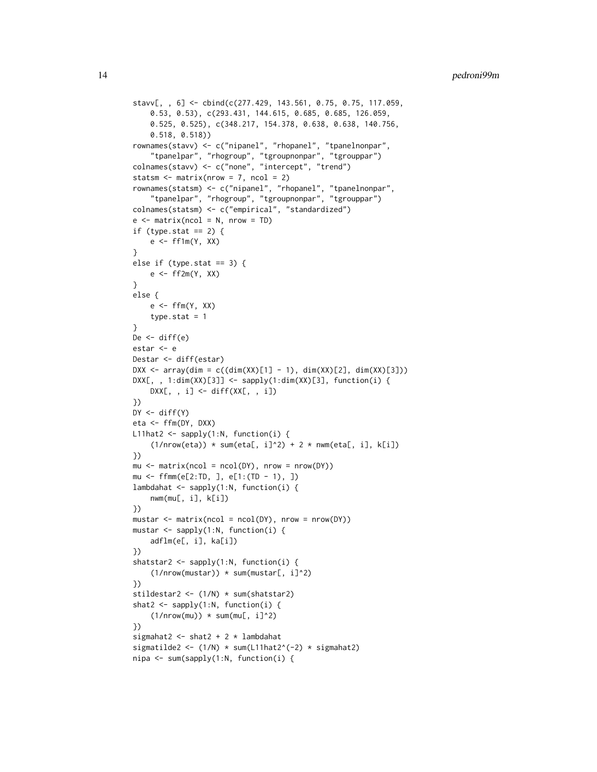```
stavv[, , 6] <- cbind(c(277.429, 143.561, 0.75, 0.75, 117.059,
    0.53, 0.53), c(293.431, 144.615, 0.685, 0.685, 126.059,
    0.525, 0.525), c(348.217, 154.378, 0.638, 0.638, 140.756,
    0.518, 0.518))
rownames(stavv) <- c("nipanel", "rhopanel", "tpanelnonpar",
    "tpanelpar", "rhogroup", "tgroupnonpar", "tgrouppar")
colnames(stavv) <- c("none", "intercept", "trend")
statsm \le matrix(nrow = 7, ncol = 2)
rownames(statsm) <- c("nipanel", "rhopanel", "tpanelnonpar",
    "tpanelpar", "rhogroup", "tgroupnonpar", "tgrouppar")
colnames(statsm) <- c("empirical", "standardized")
e \le - matrix(ncol = N, nrow = TD)
if (type.stat == 2) {
    e \leftarrow ff1m(Y, XX)}
else if (type.stat == 3) {
    e <- ff2m(Y, XX)
}
else {
    e \leftarrow ffm(Y, XX)type.stat = 1}
De <- diff(e)
estar <- e
Destar <- diff(estar)
DXX <- array(dim = c((dim(XX)[1] - 1), dim(XX)[2], dim(XX)[3]))DXX[,, 1:dim(XX)[3]] <- sapply(1:dim(XX)[3], function(i) {
    DXX[, , i] <- diff(XX[, , i])})
DY \leftarrow diff(Y)eta <- ffm(DY, DXX)
L11hat2 <- sapply(1:N, function(i) {
    (1/nrow(\text{eta})) * sum(\text{eta}[, i]^2) + 2 * num(\text{eta}[, i], k[i])})
mu \le - matrix(ncol = ncol(DY), nrow = nrow(DY))
mu <- ffmm(e[2:TD, ], e[1:(TD - 1), ])
lambdahat <- sapply(1:N, function(i) {
    nwm(mu[, i], k[i])
})
mustar \leq matrix(ncol = ncol(DY), nrow = nrow(DY))
mustar <- sapply(1:N, function(i) {
    adflm(e[, i], ka[i])
})
shatstar2 <- sapply(1:N, function(i) {
    (1/nrow(mustar)) * sum(mustar[, i]^2)})
stildestar2 <- (1/N) * sum(shatstar2)
shat2 <- sapply(1:N, function(i) {
    (1/nrow(mu)) * sum(mu[, i]^2)})
sigmahat2 <- shat2 + 2 * lambdahat
sigmatilde2 <- (1/N) * sum(L11hat2^(-2) * sigmahat2)
nipa <- sum(sapply(1:N, function(i) {
```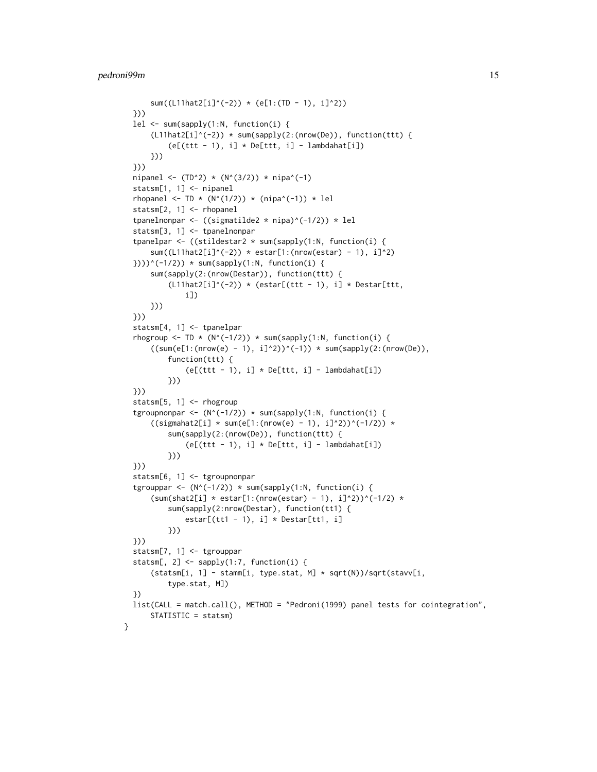```
sum((L11hat2[i]^(-2)) * (e[1:(TD - 1), i]^2))
  }))
  lel <- sum(sapply(1:N, function(i) {
      (L11hat2[i]^(-2)) * sum(sapply(2:(nrow(De)), function(ttt) )(e[(ttt - 1), i] * De[ttt, i] - lambdahat[i])}))
  }))
  nipanel <- (TD^2) * (N^(3/2)) * nipa^(-1)
  statsm[1, 1] <- nipanel
  rhopanel <- TD * (N^{(1/2)}) * (nipa^(-1)) * lel
  statsm[2, 1] <- rhopanel
  tpanelnonpar <- ((sigmatilde2 * nipa)^(-1/2)) * lel
  statsm[3, 1] <- tpanelnonpar
  tpanelpar <- ((stildestar2 * sum(sapply(1:N, function(i) {
      sum((L11hat2[i]^(-2)) * estar[1:(nrow(estar) - 1), i]^2)
  })))^(-1/2)) * sum(sapply(1:N, function(i) {
      sum(sapply(2:(nrow(Destar)), function(ttt) {
          (L11hat2[i]^(-2)) * (estar[(ttt - 1), i] * Destar[ttt,i])
      }))
  }))
  statsm[4, 1] <- tpanelpar
  rhogroup <- TD * (N^(-1/2)) * sum(sapply(1:N, function(i) {
      ((sum(e[1:(nrow(e) - 1), i]^{2}))^*(-1)) * sum(sapply(2:(nrow(De)),function(ttt) {
              (e[(ttt - 1), i] * De[ttt, i] - lambdahat[i])}))
  }))
  statsm[5, 1] <- rhogroup
  tgroupnonpar <- (N^(-1/2)) * sum(sapply(1:N, function(i) {((signal2[i] * sum(e[1:(nrow(e) - 1), i]^{2}))^(1/2)) *sum(sapply(2:(nrow(De)), function(ttt) {
              (e[(ttt - 1), i] * De[ttt, i] - lambdahat[i])}))
  }))
  statsm[6, 1] <- tgroupnonpar
  tgrouppar <- (N^(-1/2)) * sum(sapply(1:N, function(i) {(sum(shat2[i] * estar[1:(nrow(estar) - 1), i]^{2})^(-1/2) *sum(sapply(2:nrow(Destar), function(tt1) {
              estar[(tt1 - 1), i] * Destar[tt1, i]}))
  }))
  statsm[7, 1] <- tgrouppar
  statsm[, 2] <- sapply(1:7, function(i) {
      (statsm[i, 1] - stamm[i, type.stat, M] * sqrt(N))/sqrt(stavv[i,
          type.stat, M])
  })
  list(CALL = match.call(), METHOD = "Pedroni(1999) panel tests for cointegration",
      STATISTIC = statsm)
}
```